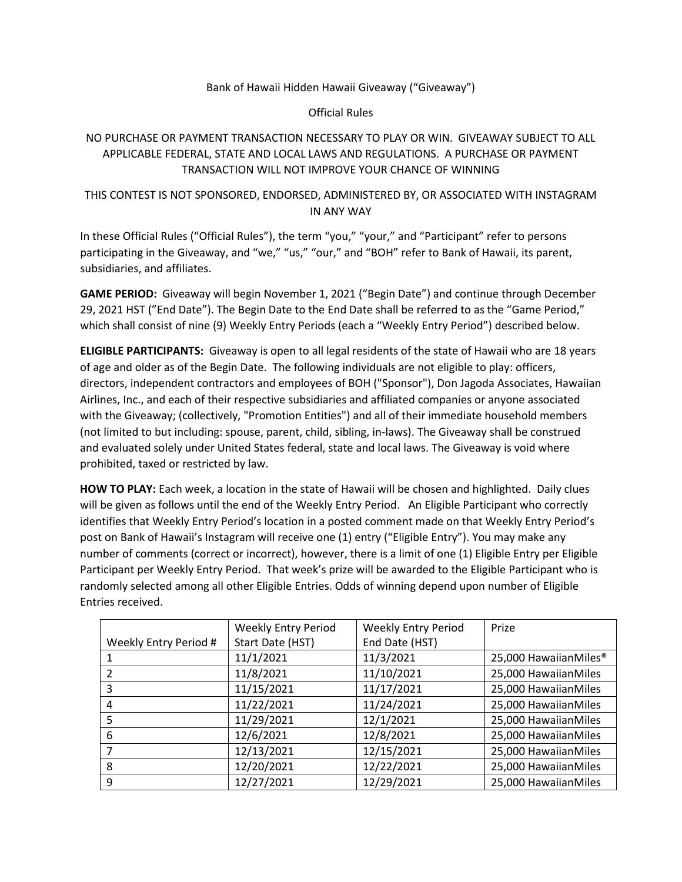### Bank of Hawaii Hidden Hawaii Giveaway ("Giveaway")

#### Official Rules

# NO PURCHASE OR PAYMENT TRANSACTION NECESSARY TO PLAY OR WIN. GIVEAWAY SUBJECT TO ALL APPLICABLE FEDERAL, STATE AND LOCAL LAWS AND REGULATIONS. A PURCHASE OR PAYMENT TRANSACTION WILL NOT IMPROVE YOUR CHANCE OF WINNING

## THIS CONTEST IS NOT SPONSORED, ENDORSED, ADMINISTERED BY, OR ASSOCIATED WITH INSTAGRAM IN ANY WAY

In these Official Rules ("Official Rules"), the term "you," "your," and "Participant" refer to persons participating in the Giveaway, and "we," "us," "our," and "BOH" refer to Bank of Hawaii, its parent, subsidiaries, and affiliates.

**GAME PERIOD:** Giveaway will begin November 1, 2021 ("Begin Date") and continue through December 29, 2021 HST ("End Date"). The Begin Date to the End Date shall be referred to as the "Game Period," which shall consist of nine (9) Weekly Entry Periods (each a "Weekly Entry Period") described below.

**ELIGIBLE PARTICIPANTS:** Giveaway is open to all legal residents of the state of Hawaii who are 18 years of age and older as of the Begin Date. The following individuals are not eligible to play: officers, directors, independent contractors and employees of BOH ("Sponsor"), Don Jagoda Associates, Hawaiian Airlines, Inc., and each of their respective subsidiaries and affiliated companies or anyone associated with the Giveaway; (collectively, "Promotion Entities") and all of their immediate household members (not limited to but including: spouse, parent, child, sibling, in-laws). The Giveaway shall be construed and evaluated solely under United States federal, state and local laws. The Giveaway is void where prohibited, taxed or restricted by law.

**HOW TO PLAY:** Each week, a location in the state of Hawaii will be chosen and highlighted. Daily clues will be given as follows until the end of the Weekly Entry Period. An Eligible Participant who correctly identifies that Weekly Entry Period's location in a posted comment made on that Weekly Entry Period's post on Bank of Hawaii's Instagram will receive one (1) entry ("Eligible Entry"). You may make any number of comments (correct or incorrect), however, there is a limit of one (1) Eligible Entry per Eligible Participant per Weekly Entry Period. That week's prize will be awarded to the Eligible Participant who is randomly selected among all other Eligible Entries. Odds of winning depend upon number of Eligible Entries received.

|                       | <b>Weekly Entry Period</b> | <b>Weekly Entry Period</b> | Prize                             |
|-----------------------|----------------------------|----------------------------|-----------------------------------|
| Weekly Entry Period # | Start Date (HST)           | End Date (HST)             |                                   |
|                       | 11/1/2021                  | 11/3/2021                  | 25,000 HawaiianMiles <sup>®</sup> |
|                       | 11/8/2021                  | 11/10/2021                 | 25,000 HawaiianMiles              |
| 3                     | 11/15/2021                 | 11/17/2021                 | 25,000 HawaiianMiles              |
| 4                     | 11/22/2021                 | 11/24/2021                 | 25,000 HawaiianMiles              |
| 5                     | 11/29/2021                 | 12/1/2021                  | 25,000 HawaiianMiles              |
| 6                     | 12/6/2021                  | 12/8/2021                  | 25,000 HawaiianMiles              |
|                       | 12/13/2021                 | 12/15/2021                 | 25,000 HawaiianMiles              |
| 8                     | 12/20/2021                 | 12/22/2021                 | 25,000 HawaiianMiles              |
| 9                     | 12/27/2021                 | 12/29/2021                 | 25,000 HawaiianMiles              |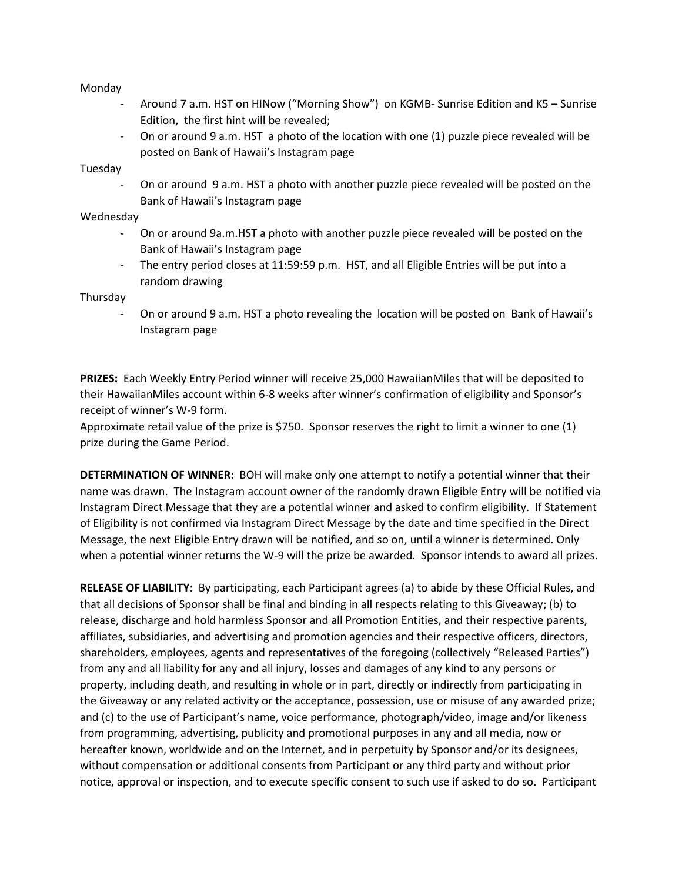Monday

- Around 7 a.m. HST on HINow ("Morning Show") on KGMB- Sunrise Edition and K5 Sunrise Edition, the first hint will be revealed;
- On or around 9 a.m. HST a photo of the location with one (1) puzzle piece revealed will be posted on Bank of Hawaii's Instagram page

Tuesday

- On or around 9 a.m. HST a photo with another puzzle piece revealed will be posted on the Bank of Hawaii's Instagram page

### Wednesday

- On or around 9a.m.HST a photo with another puzzle piece revealed will be posted on the Bank of Hawaii's Instagram page
- The entry period closes at 11:59:59 p.m. HST, and all Eligible Entries will be put into a random drawing

Thursday

- On or around 9 a.m. HST a photo revealing the location will be posted on Bank of Hawaii's Instagram page

**PRIZES:** Each Weekly Entry Period winner will receive 25,000 HawaiianMiles that will be deposited to their HawaiianMiles account within 6-8 weeks after winner's confirmation of eligibility and Sponsor's receipt of winner's W-9 form.

Approximate retail value of the prize is \$750. Sponsor reserves the right to limit a winner to one (1) prize during the Game Period.

**DETERMINATION OF WINNER:** BOH will make only one attempt to notify a potential winner that their name was drawn. The Instagram account owner of the randomly drawn Eligible Entry will be notified via Instagram Direct Message that they are a potential winner and asked to confirm eligibility. If Statement of Eligibility is not confirmed via Instagram Direct Message by the date and time specified in the Direct Message, the next Eligible Entry drawn will be notified, and so on, until a winner is determined. Only when a potential winner returns the W-9 will the prize be awarded. Sponsor intends to award all prizes.

**RELEASE OF LIABILITY:** By participating, each Participant agrees (a) to abide by these Official Rules, and that all decisions of Sponsor shall be final and binding in all respects relating to this Giveaway; (b) to release, discharge and hold harmless Sponsor and all Promotion Entities, and their respective parents, affiliates, subsidiaries, and advertising and promotion agencies and their respective officers, directors, shareholders, employees, agents and representatives of the foregoing (collectively "Released Parties") from any and all liability for any and all injury, losses and damages of any kind to any persons or property, including death, and resulting in whole or in part, directly or indirectly from participating in the Giveaway or any related activity or the acceptance, possession, use or misuse of any awarded prize; and (c) to the use of Participant's name, voice performance, photograph/video, image and/or likeness from programming, advertising, publicity and promotional purposes in any and all media, now or hereafter known, worldwide and on the Internet, and in perpetuity by Sponsor and/or its designees, without compensation or additional consents from Participant or any third party and without prior notice, approval or inspection, and to execute specific consent to such use if asked to do so. Participant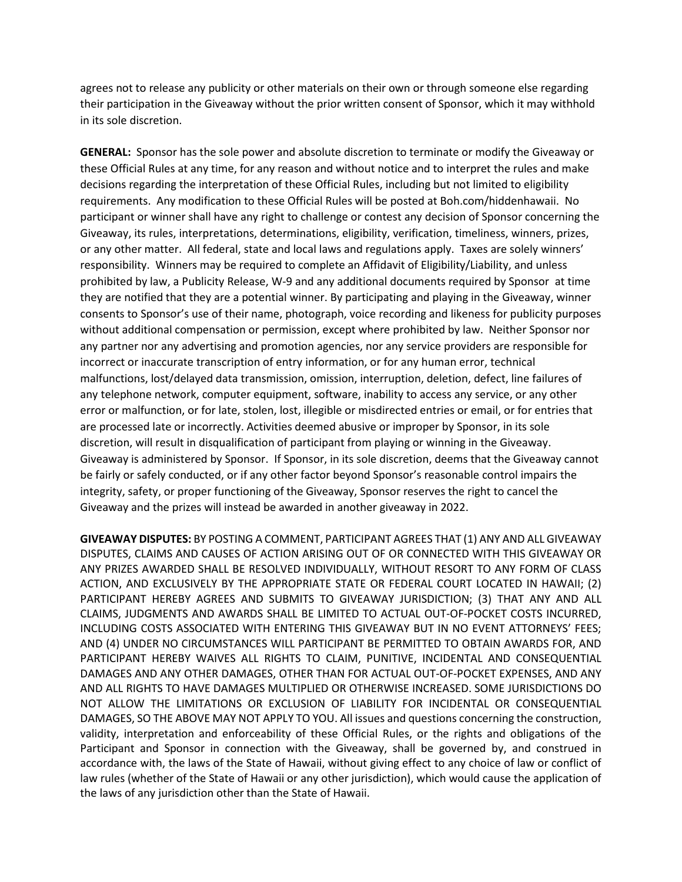agrees not to release any publicity or other materials on their own or through someone else regarding their participation in the Giveaway without the prior written consent of Sponsor, which it may withhold in its sole discretion.

**GENERAL:** Sponsor has the sole power and absolute discretion to terminate or modify the Giveaway or these Official Rules at any time, for any reason and without notice and to interpret the rules and make decisions regarding the interpretation of these Official Rules, including but not limited to eligibility requirements. Any modification to these Official Rules will be posted at Boh.com/hiddenhawaii. No participant or winner shall have any right to challenge or contest any decision of Sponsor concerning the Giveaway, its rules, interpretations, determinations, eligibility, verification, timeliness, winners, prizes, or any other matter. All federal, state and local laws and regulations apply. Taxes are solely winners' responsibility. Winners may be required to complete an Affidavit of Eligibility/Liability, and unless prohibited by law, a Publicity Release, W-9 and any additional documents required by Sponsor at time they are notified that they are a potential winner. By participating and playing in the Giveaway, winner consents to Sponsor's use of their name, photograph, voice recording and likeness for publicity purposes without additional compensation or permission, except where prohibited by law. Neither Sponsor nor any partner nor any advertising and promotion agencies, nor any service providers are responsible for incorrect or inaccurate transcription of entry information, or for any human error, technical malfunctions, lost/delayed data transmission, omission, interruption, deletion, defect, line failures of any telephone network, computer equipment, software, inability to access any service, or any other error or malfunction, or for late, stolen, lost, illegible or misdirected entries or email, or for entries that are processed late or incorrectly. Activities deemed abusive or improper by Sponsor, in its sole discretion, will result in disqualification of participant from playing or winning in the Giveaway. Giveaway is administered by Sponsor. If Sponsor, in its sole discretion, deems that the Giveaway cannot be fairly or safely conducted, or if any other factor beyond Sponsor's reasonable control impairs the integrity, safety, or proper functioning of the Giveaway, Sponsor reserves the right to cancel the Giveaway and the prizes will instead be awarded in another giveaway in 2022.

**GIVEAWAY DISPUTES:** BY POSTING A COMMENT, PARTICIPANT AGREES THAT (1) ANY AND ALL GIVEAWAY DISPUTES, CLAIMS AND CAUSES OF ACTION ARISING OUT OF OR CONNECTED WITH THIS GIVEAWAY OR ANY PRIZES AWARDED SHALL BE RESOLVED INDIVIDUALLY, WITHOUT RESORT TO ANY FORM OF CLASS ACTION, AND EXCLUSIVELY BY THE APPROPRIATE STATE OR FEDERAL COURT LOCATED IN HAWAII; (2) PARTICIPANT HEREBY AGREES AND SUBMITS TO GIVEAWAY JURISDICTION; (3) THAT ANY AND ALL CLAIMS, JUDGMENTS AND AWARDS SHALL BE LIMITED TO ACTUAL OUT-OF-POCKET COSTS INCURRED, INCLUDING COSTS ASSOCIATED WITH ENTERING THIS GIVEAWAY BUT IN NO EVENT ATTORNEYS' FEES; AND (4) UNDER NO CIRCUMSTANCES WILL PARTICIPANT BE PERMITTED TO OBTAIN AWARDS FOR, AND PARTICIPANT HEREBY WAIVES ALL RIGHTS TO CLAIM, PUNITIVE, INCIDENTAL AND CONSEQUENTIAL DAMAGES AND ANY OTHER DAMAGES, OTHER THAN FOR ACTUAL OUT-OF-POCKET EXPENSES, AND ANY AND ALL RIGHTS TO HAVE DAMAGES MULTIPLIED OR OTHERWISE INCREASED. SOME JURISDICTIONS DO NOT ALLOW THE LIMITATIONS OR EXCLUSION OF LIABILITY FOR INCIDENTAL OR CONSEQUENTIAL DAMAGES, SO THE ABOVE MAY NOT APPLY TO YOU. All issues and questions concerning the construction, validity, interpretation and enforceability of these Official Rules, or the rights and obligations of the Participant and Sponsor in connection with the Giveaway, shall be governed by, and construed in accordance with, the laws of the State of Hawaii, without giving effect to any choice of law or conflict of law rules (whether of the State of Hawaii or any other jurisdiction), which would cause the application of the laws of any jurisdiction other than the State of Hawaii.